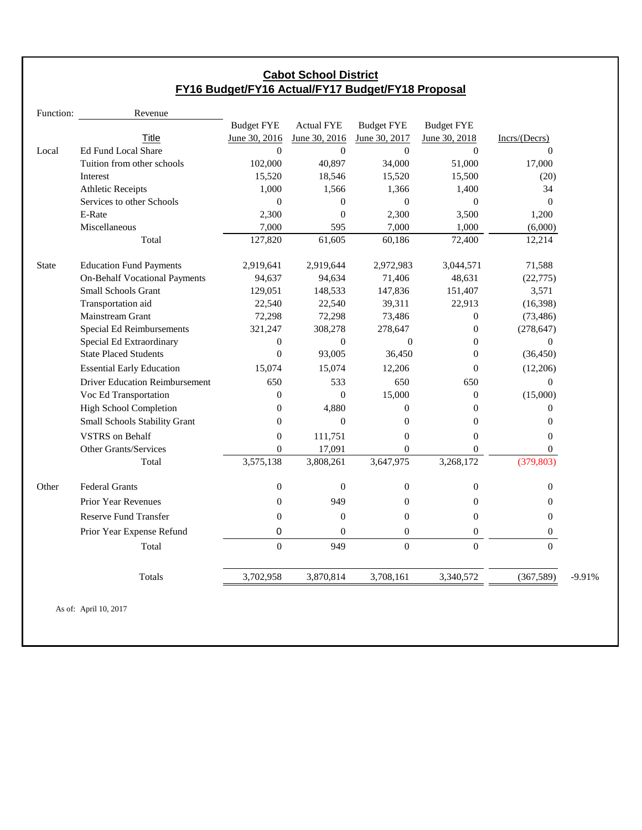### **Cabot School District FY16 Budget/FY16 Actual/FY17 Budget/FY18 Proposal**

| Revenue                               |                                                          |                   |                   |                   |                  |          |
|---------------------------------------|----------------------------------------------------------|-------------------|-------------------|-------------------|------------------|----------|
|                                       | <b>Budget FYE</b>                                        | <b>Actual FYE</b> | <b>Budget FYE</b> | <b>Budget FYE</b> |                  |          |
| Title                                 | June 30, 2016                                            | June 30, 2016     | June 30, 2017     | June 30, 2018     | Incrs/(Decrs)    |          |
| Ed Fund Local Share                   | $\Omega$                                                 | $\mathbf{0}$      | $\Omega$          | $\theta$          | $\Omega$         |          |
| Tuition from other schools            | 102,000                                                  | 40,897            | 34,000            | 51,000            | 17,000           |          |
| Interest                              | 15,520                                                   | 18,546            | 15,520            | 15,500            | (20)             |          |
| <b>Athletic Receipts</b>              | 1,000                                                    | 1,566             | 1,366             | 1,400             | 34               |          |
| Services to other Schools             | $\Omega$                                                 | $\overline{0}$    | $\mathbf{0}$      | $\Omega$          | $\theta$         |          |
| E-Rate                                | 2,300                                                    | $\mathbf{0}$      | 2,300             | 3,500             | 1,200            |          |
| Miscellaneous                         | 7,000                                                    | 595               | 7,000             | 1,000             | (6,000)          |          |
| Total                                 | 127,820                                                  | 61,605            | 60,186            | 72,400            | 12,214           |          |
| <b>Education Fund Payments</b>        | 2,919,641                                                | 2,919,644         | 2,972,983         | 3,044,571         | 71,588           |          |
| <b>On-Behalf Vocational Payments</b>  | 94,637                                                   | 94,634            | 71,406            | 48,631            | (22, 775)        |          |
| <b>Small Schools Grant</b>            | 129,051                                                  | 148,533           | 147,836           | 151,407           | 3,571            |          |
| Transportation aid                    | 22,540                                                   | 22,540            | 39,311            | 22,913            | (16,398)         |          |
| <b>Mainstream Grant</b>               | 72,298                                                   | 72,298            | 73,486            | $\theta$          | (73, 486)        |          |
| Special Ed Reimbursements             | 321,247                                                  | 308,278           | 278,647           | $\theta$          | (278, 647)       |          |
|                                       | $\mathbf{0}$                                             | $\theta$          | $\Omega$          | $\Omega$          | $\overline{0}$   |          |
|                                       | $\theta$                                                 | 93,005            | 36,450            | $\theta$          | (36, 450)        |          |
| <b>Essential Early Education</b>      | 15,074                                                   | 15,074            | 12,206            | $\theta$          | (12,206)         |          |
| <b>Driver Education Reimbursement</b> | 650                                                      | 533               | 650               | 650               | $\mathbf{0}$     |          |
| Voc Ed Transportation                 | $\overline{0}$                                           | $\overline{0}$    | 15,000            | $\theta$          | (15,000)         |          |
| <b>High School Completion</b>         | $\theta$                                                 | 4,880             | $\overline{0}$    | $\theta$          | $\theta$         |          |
| Small Schools Stability Grant         | $\overline{0}$                                           | $\mathbf{0}$      | $\theta$          | $\overline{0}$    | 0                |          |
| <b>VSTRS</b> on Behalf                | $\overline{0}$                                           | 111,751           | $\overline{0}$    | $\overline{0}$    | $\overline{0}$   |          |
| Other Grants/Services                 | $\overline{0}$                                           | 17,091            | $\overline{0}$    | $\theta$          | 0                |          |
| Total                                 | 3,575,138                                                | 3,808,261         | 3,647,975         | 3,268,172         | (379, 803)       |          |
| <b>Federal Grants</b>                 | $\boldsymbol{0}$                                         | $\mathbf{0}$      | $\boldsymbol{0}$  | $\mathbf{0}$      | 0                |          |
| Prior Year Revenues                   | $\theta$                                                 | 949               | $\theta$          | $\theta$          | $\mathbf{0}$     |          |
| <b>Reserve Fund Transfer</b>          | $\theta$                                                 | $\mathbf{0}$      | $\theta$          | $\theta$          | $\overline{0}$   |          |
| Prior Year Expense Refund             | 0                                                        | $\overline{0}$    | $\boldsymbol{0}$  | $\boldsymbol{0}$  | $\boldsymbol{0}$ |          |
| Total                                 | $\theta$                                                 | 949               | $\Omega$          | $\theta$          | $\Omega$         |          |
| Totals                                | 3,702,958                                                | 3,870,814         | 3,708,161         | 3,340,572         | (367,589)        | $-9.91%$ |
|                                       | Special Ed Extraordinary<br><b>State Placed Students</b> |                   |                   |                   |                  |          |

As of: April 10, 2017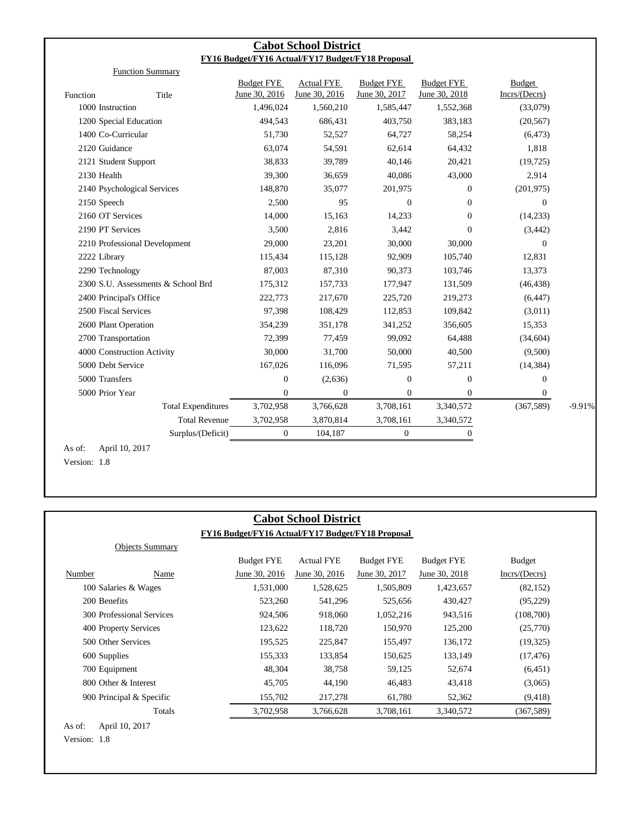|                         |                                    |                   | <b>Cabot School District</b> |                                                   |                                    |                          |          |
|-------------------------|------------------------------------|-------------------|------------------------------|---------------------------------------------------|------------------------------------|--------------------------|----------|
|                         |                                    |                   |                              | FY16 Budget/FY16 Actual/FY17 Budget/FY18 Proposal |                                    |                          |          |
|                         | <b>Function Summary</b>            | <b>Budget FYE</b> | <b>Actual FYE</b>            | <b>Budget FYE</b>                                 |                                    |                          |          |
| Function                | Title                              | June 30, 2016     | June 30, 2016                | June 30, 2017                                     | <b>Budget FYE</b><br>June 30, 2018 | Budget<br>Incrs/ (Decrs) |          |
| 1000 Instruction        |                                    | 1,496,024         | 1,560,210                    | 1,585,447                                         | 1,552,368                          | (33,079)                 |          |
| 1200 Special Education  |                                    | 494,543           | 686,431                      | 403,750                                           | 383,183                            | (20, 567)                |          |
| 1400 Co-Curricular      |                                    | 51,730            | 52,527                       | 64,727                                            | 58,254                             | (6, 473)                 |          |
| 2120 Guidance           |                                    | 63,074            | 54,591                       | 62,614                                            | 64,432                             | 1,818                    |          |
| 2121 Student Support    |                                    | 38,833            | 39,789                       | 40,146                                            | 20,421                             | (19, 725)                |          |
| 2130 Health             |                                    | 39,300            | 36,659                       | 40,086                                            | 43,000                             | 2,914                    |          |
|                         | 2140 Psychological Services        | 148,870           | 35,077                       | 201,975                                           | $\Omega$                           | (201, 975)               |          |
| 2150 Speech             |                                    | 2,500             | 95                           | $\mathbf{0}$                                      | $\Omega$                           | $\mathbf{0}$             |          |
| 2160 OT Services        |                                    | 14,000            | 15,163                       | 14,233                                            | $\overline{0}$                     | (14,233)                 |          |
| 2190 PT Services        |                                    | 3,500             | 2,816                        | 3,442                                             | $\Omega$                           | (3, 442)                 |          |
|                         | 2210 Professional Development      | 29,000            | 23,201                       | 30,000                                            | 30,000                             | $\Omega$                 |          |
| 2222 Library            |                                    | 115,434           | 115,128                      | 92,909                                            | 105,740                            | 12,831                   |          |
| 2290 Technology         |                                    | 87,003            | 87,310                       | 90,373                                            | 103,746                            | 13,373                   |          |
|                         | 2300 S.U. Assessments & School Brd | 175,312           | 157,733                      | 177,947                                           | 131,509                            | (46, 438)                |          |
| 2400 Principal's Office |                                    | 222,773           | 217,670                      | 225,720                                           | 219,273                            | (6, 447)                 |          |
| 2500 Fiscal Services    |                                    | 97,398            | 108,429                      | 112,853                                           | 109,842                            | (3,011)                  |          |
| 2600 Plant Operation    |                                    | 354,239           | 351,178                      | 341,252                                           | 356,605                            | 15,353                   |          |
| 2700 Transportation     |                                    | 72,399            | 77,459                       | 99,092                                            | 64,488                             | (34, 604)                |          |
|                         | 4000 Construction Activity         | 30,000            | 31,700                       | 50,000                                            | 40,500                             | (9,500)                  |          |
| 5000 Debt Service       |                                    | 167,026           | 116,096                      | 71,595                                            | 57,211                             | (14, 384)                |          |
| 5000 Transfers          |                                    | $\boldsymbol{0}$  | (2,636)                      | $\mathbf{0}$                                      | $\overline{0}$                     | $\mathbf{0}$             |          |
| 5000 Prior Year         |                                    | $\mathbf{0}$      | $\overline{0}$               | $\mathbf{0}$                                      | $\Omega$                           | $\overline{0}$           |          |
|                         | <b>Total Expenditures</b>          | 3,702,958         | 3,766,628                    | 3,708,161                                         | 3,340,572                          | (367, 589)               | $-9.91%$ |
|                         | <b>Total Revenue</b>               | 3,702,958         | 3,870,814                    | 3,708,161                                         | 3,340,572                          |                          |          |
|                         | Surplus/(Deficit)                  | $\mathbf{0}$      | 104,187                      | $\overline{0}$                                    | 0                                  |                          |          |

Version: 1.8

|                                                   |                           |                   | <b>Cabot School District</b> |                   |                   |                |
|---------------------------------------------------|---------------------------|-------------------|------------------------------|-------------------|-------------------|----------------|
| FY16 Budget/FY16 Actual/FY17 Budget/FY18 Proposal |                           |                   |                              |                   |                   |                |
|                                                   | <b>Objects Summary</b>    |                   |                              |                   |                   |                |
|                                                   |                           | <b>Budget FYE</b> | <b>Actual FYE</b>            | <b>Budget FYE</b> | <b>Budget FYE</b> | <b>Budget</b>  |
| Number                                            | Name                      | June 30, 2016     | June 30, 2016                | June 30, 2017     | June 30, 2018     | Incrs/ (Decrs) |
| 100 Salaries & Wages                              |                           | 1,531,000         | 1,528,625                    | 1,505,809         | 1,423,657         | (82, 152)      |
| 200 Benefits                                      |                           | 523,260           | 541,296                      | 525,656           | 430,427           | (95,229)       |
|                                                   | 300 Professional Services | 924,506           | 918,060                      | 1,052,216         | 943,516           | (108,700)      |
| 400 Property Services                             |                           | 123,622           | 118,720                      | 150,970           | 125,200           | (25,770)       |
| 500 Other Services                                |                           | 195,525           | 225,847                      | 155,497           | 136,172           | (19, 325)      |
| 600 Supplies                                      |                           | 155,333           | 133,854                      | 150,625           | 133,149           | (17, 476)      |
| 700 Equipment                                     |                           | 48,304            | 38,758                       | 59,125            | 52,674            | (6,451)        |
| 800 Other & Interest                              |                           | 45,705            | 44,190                       | 46,483            | 43,418            | (3,065)        |
| 900 Principal & Specific                          |                           | 155,702           | 217,278                      | 61,780            | 52,362            | (9, 418)       |
|                                                   | Totals                    | 3,702,958         | 3,766,628                    | 3,708,161         | 3,340,572         | (367, 589)     |

Version: 1.8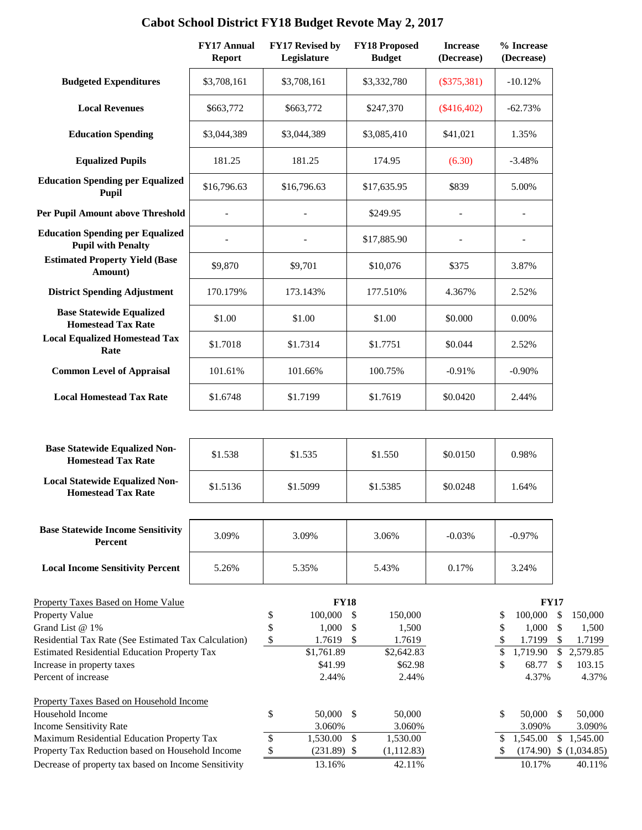|                                                                      | <b>FY17 Annual</b><br><b>Report</b> | FY17 Revised by<br>Legislature | <b>FY18 Proposed</b><br><b>Budget</b> | <b>Increase</b><br>(Decrease) | % Increase<br>(Decrease) |                                    |
|----------------------------------------------------------------------|-------------------------------------|--------------------------------|---------------------------------------|-------------------------------|--------------------------|------------------------------------|
| <b>Budgeted Expenditures</b>                                         | \$3,708,161                         | \$3,708,161                    | \$3,332,780                           | $(\$375,381)$                 | $-10.12%$                |                                    |
| <b>Local Revenues</b>                                                | \$663,772                           | \$663,772                      | \$247,370                             | $(\$416,402)$                 | $-62.73%$                |                                    |
| <b>Education Spending</b>                                            | \$3,044,389                         | \$3,044,389                    | \$3,085,410                           | \$41,021                      | 1.35%                    |                                    |
| <b>Equalized Pupils</b>                                              | 181.25                              | 181.25                         | 174.95                                | (6.30)                        | $-3.48%$                 |                                    |
| <b>Education Spending per Equalized</b><br>Pupil                     | \$16,796.63                         | \$16,796.63                    | \$17,635.95                           | \$839                         | 5.00%                    |                                    |
| <b>Per Pupil Amount above Threshold</b>                              |                                     |                                | \$249.95                              |                               |                          |                                    |
| <b>Education Spending per Equalized</b><br><b>Pupil with Penalty</b> |                                     |                                | \$17,885.90                           |                               |                          |                                    |
| <b>Estimated Property Yield (Base</b><br>Amount)                     | \$9,870                             | \$9,701                        | \$10,076                              | \$375                         | 3.87%                    |                                    |
| <b>District Spending Adjustment</b>                                  | 170.179%                            | 173.143%                       | 177.510%                              | 4.367%                        | 2.52%                    |                                    |
| <b>Base Statewide Equalized</b><br><b>Homestead Tax Rate</b>         | \$1.00                              | \$1.00                         | \$1.00                                | \$0.000                       | 0.00%                    |                                    |
| <b>Local Equalized Homestead Tax</b><br>Rate                         | \$1.7018                            | \$1.7314                       | \$1.7751                              | \$0.044                       | 2.52%                    |                                    |
| <b>Common Level of Appraisal</b>                                     | 101.61%                             | 101.66%                        | 100.75%                               | $-0.91%$                      | $-0.90%$                 |                                    |
| <b>Local Homestead Tax Rate</b>                                      | \$1.6748                            | \$1.7199                       | \$1.7619                              | \$0.0420                      | 2.44%                    |                                    |
|                                                                      |                                     |                                |                                       |                               |                          |                                    |
| <b>Base Statewide Equalized Non-</b><br><b>Homestead Tax Rate</b>    | \$1.538                             | \$1.535                        | \$1.550                               | \$0.0150                      | 0.98%                    |                                    |
| <b>Local Statewide Equalized Non-</b><br><b>Homestead Tax Rate</b>   | \$1.5136                            | \$1.5099                       | \$1.5385                              | \$0.0248                      | 1.64%                    |                                    |
| <b>Base Statewide Income Sensitivity</b>                             |                                     |                                |                                       |                               |                          |                                    |
| Percent                                                              | 3.09%                               | 3.09%                          | 3.06%                                 | $-0.03%$                      | $-0.97%$                 |                                    |
| <b>Local Income Sensitivity Percent</b>                              | 5.26%                               | 5.35%                          | 5.43%                                 | 0.17%                         | 3.24%                    |                                    |
| <b>Property Taxes Based on Home Value</b>                            |                                     | <b>FY18</b>                    |                                       |                               | <b>FY17</b>              |                                    |
| <b>Property Value</b>                                                |                                     | \$<br>100,000                  | \$<br>150,000                         |                               | 100,000<br>\$            | \$<br>150,000                      |
| Grand List @ 1%                                                      |                                     | \$<br>1,000                    | \$<br>1,500                           |                               | \$<br>1,000              | $\mathcal{S}$<br>1,500             |
| Residential Tax Rate (See Estimated Tax Calculation)                 |                                     | \$<br>1.7619                   | \$<br>1.7619                          |                               | \$<br>1.7199<br>\$       | \$<br>1.7199<br>$\mathcal{S}$      |
| <b>Estimated Residential Education Property Tax</b>                  |                                     | \$1,761.89<br>\$41.99          | \$2,642.83                            |                               | 1,719.90<br>\$<br>68.77  | 2,579.85<br>$\mathbb{S}$<br>103.15 |
| Increase in property taxes<br>Percent of increase                    |                                     | 2.44%                          | \$62.98<br>2.44%                      |                               | 4.37%                    | 4.37%                              |
| <b>Property Taxes Based on Household Income</b>                      |                                     |                                |                                       |                               |                          |                                    |
| Household Income                                                     |                                     | \$<br>50,000                   | $\mathcal{S}$<br>50,000               |                               | 50,000<br>\$             | $\mathcal{S}$<br>50,000            |
| <b>Income Sensitivity Rate</b>                                       |                                     | 3.060%                         | 3.060%                                |                               | 3.090%                   | 3.090%                             |
| Maximum Residential Education Property Tax                           |                                     | \$<br>1,530.00                 | $\$\,$<br>1,530.00                    |                               | \$1,545.00               | \$1,545.00                         |
| Property Tax Reduction based on Household Income                     |                                     | $\mathbb{S}$<br>$(231.89)$ \$  | (1, 112.83)                           |                               | $\mathbb{S}$             | $(174.90)$ \$ $(1,034.85)$         |
| Decrease of property tax based on Income Sensitivity                 |                                     | 13.16%                         | 42.11%                                |                               | 10.17%                   | 40.11%                             |

# **Cabot School District FY18 Budget Revote May 2, 2017**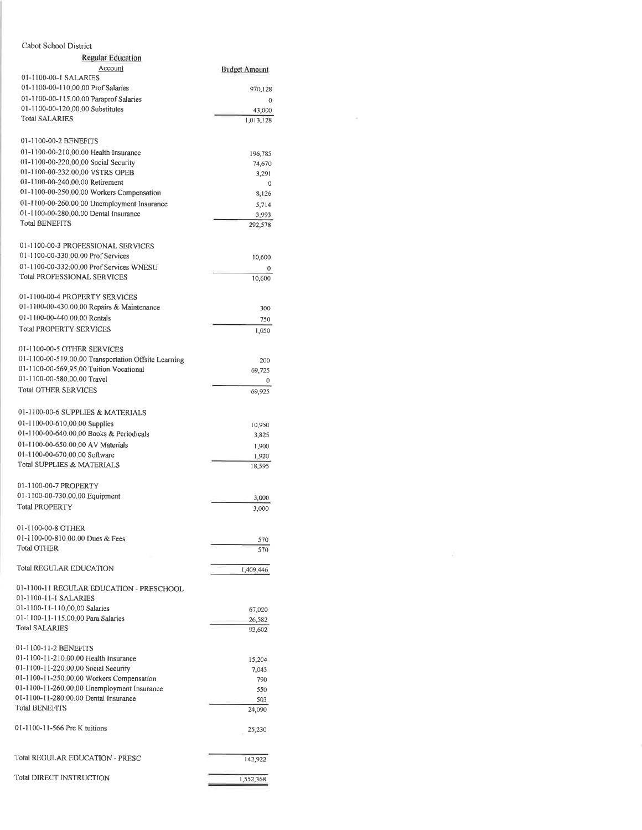#### Cabot School District **Regular Education** Account **Budget Amount** 01-1100-00-1 SALARIES 01-1100-00-110.00.00 Prof Salaries 970,128 01-1100-00-115.00.00 Paraprof Salaries  $\,0\,$ 01-1100-00-120,00,00 Substitutes 43,000 **Total SALARIES**  $1,013,128$ 01-1100-00-2 BENEFITS 01-1100-00-210,00.00 Health Insurance 196,785 01-1100-00-220 00 00 Social Security 74,670 01-1100-00-232.00.00 VSTRS OPEB 3,291 01-1100-00-240.00.00 Retirement  $\mathbf 0$ 01-1100-00-250,00,00 Workers Compensation 8,126 01-1100-00-260.00.00 Unemployment Insurance 5,714 01-1100-00-280.00.00 Dental Insurance 3,993 **Total BENEFITS** 292,578 01-1100-00-3 PROFESSIONAL SERVICES 01-1100-00-330.00.00 Prof Services 10,600 01-1100-00-332 00 00 Prof Services WNESU  $\theta$ **Total PROFESSIONAL SERVICES** 10,600 01-1100-00-4 PROPERTY SERVICES 01-1100-00-430.00 00 Repairs & Maintenance 300 01-1100-00-440.00.00 Rentals 750 **Total PROPERTY SERVICES** 1,050 01-1100-00-5 OTHER SERVICES 01-1100-00-519.00.00 Transportation Offsite Learning 200 01-1100-00-569.95.00 Tuition Vocational 69,725 01-1100-00-580,00.00 Travel  $\theta$ **Total OTHER SERVICES** 69,925 01-1100-00-6 SUPPLIES & MATERIALS 01-1100-00-610.00.00 Supplies 10.950 01-1100-00-640.00.00 Books & Periodicals 3,825 01-1100-00-650.00.00 AV Materials 1,900 01-1100-00-670,00.00 Software 1,920 Total SUPPLIES & MATERIALS 18,595 01-1100-00-7 PROPERTY 01-1100-00-730.00.00 Equipment 3,000 **Total PROPERTY** 3,000 01-1100-00-8 OTHER 01-1100-00-810 00.00 Dues & Fees 570 **Total OTHER** 570 **Total REGULAR EDUCATION** 1,409,446 01-1100-11 REGULAR EDUCATION - PRESCHOOL 01-1100-11-1 SALARIES 01-1100-11-110.00.00 Salaries 67,020 01-1100-11-115.00.00 Para Salaries 26,582 **Total SALARIES** 93,602 01-1100-11-2 BENEFITS 01-1100-11-210.00.00 Health Insurance 15,204 01-1100-11-220.00.00 Social Security 7,043 01-1100-11-250.00.00 Workers Compensation  $790$ 01-1100-11-260.00.00 Unemployment Insurance 550 01-1100-11-280.00.00 Dental Insurance 503 Total BENEFITS 24,090 01-1100-11-566 Pre K tuitions 25,230 **Total REGULAR EDUCATION - PRESC** 142,922 **Total DIRECT INSTRUCTION** 1,552,368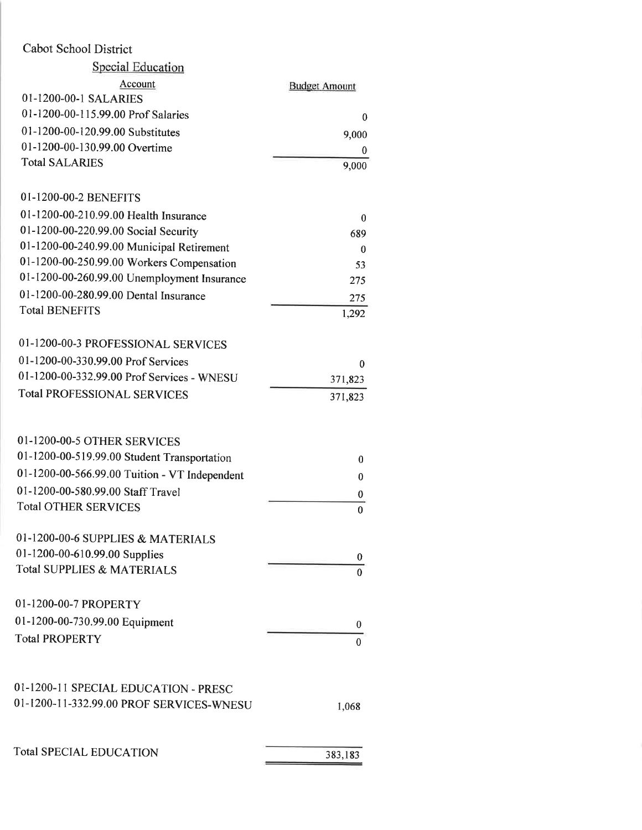|  |  | Cabot School District |
|--|--|-----------------------|
|--|--|-----------------------|

| <b>Special Education</b>                      |                      |
|-----------------------------------------------|----------------------|
| Account                                       | <b>Budget Amount</b> |
| 01-1200-00-1 SALARIES                         |                      |
| 01-1200-00-115.99.00 Prof Salaries            | 0                    |
| 01-1200-00-120.99.00 Substitutes              | 9,000                |
| 01-1200-00-130.99.00 Overtime                 | 0                    |
| <b>Total SALARIES</b>                         | 9,000                |
| 01-1200-00-2 BENEFITS                         |                      |
| 01-1200-00-210.99.00 Health Insurance         | 0                    |
| 01-1200-00-220.99.00 Social Security          | 689                  |
| 01-1200-00-240.99.00 Municipal Retirement     | 0                    |
| 01-1200-00-250.99.00 Workers Compensation     | 53                   |
| 01-1200-00-260.99.00 Unemployment Insurance   | 275                  |
| 01-1200-00-280.99.00 Dental Insurance         | 275                  |
| <b>Total BENEFITS</b>                         | 1,292                |
| 01-1200-00-3 PROFESSIONAL SERVICES            |                      |
| 01-1200-00-330.99.00 Prof Services            | $\bf{0}$             |
| 01-1200-00-332.99.00 Prof Services - WNESU    | 371,823              |
| <b>Total PROFESSIONAL SERVICES</b>            | 371,823              |
|                                               |                      |
| 01-1200-00-5 OTHER SERVICES                   |                      |
| 01-1200-00-519.99.00 Student Transportation   | 0                    |
| 01-1200-00-566.99.00 Tuition - VT Independent | 0                    |
| 01-1200-00-580.99.00 Staff Travel             | 0                    |
| <b>Total OTHER SERVICES</b>                   | 0                    |
| 01-1200-00-6 SUPPLIES & MATERIALS             |                      |
| 01-1200-00-610.99.00 Supplies                 | 0                    |
| Total SUPPLIES & MATERIALS                    | $\theta$             |
| 01-1200-00-7 PROPERTY                         |                      |
| 01-1200-00-730.99.00 Equipment                |                      |
| <b>Total PROPERTY</b>                         | 0                    |
|                                               | 0                    |
| 01-1200-11 SPECIAL EDUCATION - PRESC          |                      |
| 01-1200-11-332.99.00 PROF SERVICES-WNESU      |                      |
|                                               | 1,068                |
| <b>Total SPECIAL EDUCATION</b>                |                      |
|                                               | 383,183              |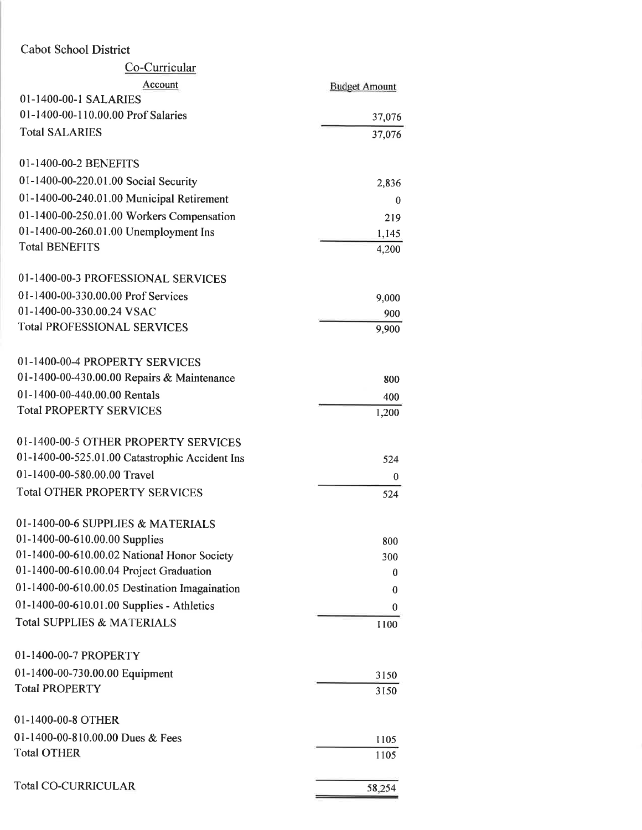| Account<br><b>Budget Amount</b><br>01-1400-00-1 SALARIES<br>01-1400-00-110.00.00 Prof Salaries<br>37,076<br><b>Total SALARIES</b><br>37,076<br>01-1400-00-2 BENEFITS<br>01-1400-00-220.01.00 Social Security<br>2,836<br>01-1400-00-240.01.00 Municipal Retirement<br>$\bf{0}$<br>01-1400-00-250.01.00 Workers Compensation<br>219<br>01-1400-00-260.01.00 Unemployment Ins<br>1,145<br><b>Total BENEFITS</b><br>4,200<br>01-1400-00-3 PROFESSIONAL SERVICES<br>01-1400-00-330.00.00 Prof Services<br>9,000<br>01-1400-00-330.00.24 VSAC<br>900<br><b>Total PROFESSIONAL SERVICES</b><br>9,900<br>01-1400-00-4 PROPERTY SERVICES<br>01-1400-00-430.00.00 Repairs & Maintenance<br>800<br>01-1400-00-440.00.00 Rentals<br>400<br><b>Total PROPERTY SERVICES</b><br>1,200<br>01-1400-00-5 OTHER PROPERTY SERVICES<br>01-1400-00-525.01.00 Catastrophic Accident Ins<br>524<br>01-1400-00-580.00.00 Travel<br>0<br><b>Total OTHER PROPERTY SERVICES</b><br>524<br>01-1400-00-6 SUPPLIES & MATERIALS<br>01-1400-00-610.00.00 Supplies<br>800<br>01-1400-00-610.00.02 National Honor Society<br>300<br>01-1400-00-610.00.04 Project Graduation<br>0<br>01-1400-00-610.00.05 Destination Imagaination<br>0<br>01-1400-00-610.01.00 Supplies - Athletics<br>0<br><b>Total SUPPLIES &amp; MATERIALS</b><br>1100<br>01-1400-00-7 PROPERTY<br>01-1400-00-730.00.00 Equipment<br>3150<br><b>Total PROPERTY</b><br>3150<br>01-1400-00-8 OTHER<br>01-1400-00-810.00.00 Dues & Fees<br>1105<br><b>Total OTHER</b><br>1105 | Co-Curricular              |        |
|-------------------------------------------------------------------------------------------------------------------------------------------------------------------------------------------------------------------------------------------------------------------------------------------------------------------------------------------------------------------------------------------------------------------------------------------------------------------------------------------------------------------------------------------------------------------------------------------------------------------------------------------------------------------------------------------------------------------------------------------------------------------------------------------------------------------------------------------------------------------------------------------------------------------------------------------------------------------------------------------------------------------------------------------------------------------------------------------------------------------------------------------------------------------------------------------------------------------------------------------------------------------------------------------------------------------------------------------------------------------------------------------------------------------------------------------------------------------------------------------------------------|----------------------------|--------|
|                                                                                                                                                                                                                                                                                                                                                                                                                                                                                                                                                                                                                                                                                                                                                                                                                                                                                                                                                                                                                                                                                                                                                                                                                                                                                                                                                                                                                                                                                                             |                            |        |
|                                                                                                                                                                                                                                                                                                                                                                                                                                                                                                                                                                                                                                                                                                                                                                                                                                                                                                                                                                                                                                                                                                                                                                                                                                                                                                                                                                                                                                                                                                             |                            |        |
|                                                                                                                                                                                                                                                                                                                                                                                                                                                                                                                                                                                                                                                                                                                                                                                                                                                                                                                                                                                                                                                                                                                                                                                                                                                                                                                                                                                                                                                                                                             |                            |        |
|                                                                                                                                                                                                                                                                                                                                                                                                                                                                                                                                                                                                                                                                                                                                                                                                                                                                                                                                                                                                                                                                                                                                                                                                                                                                                                                                                                                                                                                                                                             |                            |        |
|                                                                                                                                                                                                                                                                                                                                                                                                                                                                                                                                                                                                                                                                                                                                                                                                                                                                                                                                                                                                                                                                                                                                                                                                                                                                                                                                                                                                                                                                                                             |                            |        |
|                                                                                                                                                                                                                                                                                                                                                                                                                                                                                                                                                                                                                                                                                                                                                                                                                                                                                                                                                                                                                                                                                                                                                                                                                                                                                                                                                                                                                                                                                                             |                            |        |
|                                                                                                                                                                                                                                                                                                                                                                                                                                                                                                                                                                                                                                                                                                                                                                                                                                                                                                                                                                                                                                                                                                                                                                                                                                                                                                                                                                                                                                                                                                             |                            |        |
|                                                                                                                                                                                                                                                                                                                                                                                                                                                                                                                                                                                                                                                                                                                                                                                                                                                                                                                                                                                                                                                                                                                                                                                                                                                                                                                                                                                                                                                                                                             |                            |        |
|                                                                                                                                                                                                                                                                                                                                                                                                                                                                                                                                                                                                                                                                                                                                                                                                                                                                                                                                                                                                                                                                                                                                                                                                                                                                                                                                                                                                                                                                                                             |                            |        |
|                                                                                                                                                                                                                                                                                                                                                                                                                                                                                                                                                                                                                                                                                                                                                                                                                                                                                                                                                                                                                                                                                                                                                                                                                                                                                                                                                                                                                                                                                                             |                            |        |
|                                                                                                                                                                                                                                                                                                                                                                                                                                                                                                                                                                                                                                                                                                                                                                                                                                                                                                                                                                                                                                                                                                                                                                                                                                                                                                                                                                                                                                                                                                             |                            |        |
|                                                                                                                                                                                                                                                                                                                                                                                                                                                                                                                                                                                                                                                                                                                                                                                                                                                                                                                                                                                                                                                                                                                                                                                                                                                                                                                                                                                                                                                                                                             |                            |        |
|                                                                                                                                                                                                                                                                                                                                                                                                                                                                                                                                                                                                                                                                                                                                                                                                                                                                                                                                                                                                                                                                                                                                                                                                                                                                                                                                                                                                                                                                                                             |                            |        |
|                                                                                                                                                                                                                                                                                                                                                                                                                                                                                                                                                                                                                                                                                                                                                                                                                                                                                                                                                                                                                                                                                                                                                                                                                                                                                                                                                                                                                                                                                                             |                            |        |
|                                                                                                                                                                                                                                                                                                                                                                                                                                                                                                                                                                                                                                                                                                                                                                                                                                                                                                                                                                                                                                                                                                                                                                                                                                                                                                                                                                                                                                                                                                             |                            |        |
|                                                                                                                                                                                                                                                                                                                                                                                                                                                                                                                                                                                                                                                                                                                                                                                                                                                                                                                                                                                                                                                                                                                                                                                                                                                                                                                                                                                                                                                                                                             |                            |        |
|                                                                                                                                                                                                                                                                                                                                                                                                                                                                                                                                                                                                                                                                                                                                                                                                                                                                                                                                                                                                                                                                                                                                                                                                                                                                                                                                                                                                                                                                                                             |                            |        |
|                                                                                                                                                                                                                                                                                                                                                                                                                                                                                                                                                                                                                                                                                                                                                                                                                                                                                                                                                                                                                                                                                                                                                                                                                                                                                                                                                                                                                                                                                                             |                            |        |
|                                                                                                                                                                                                                                                                                                                                                                                                                                                                                                                                                                                                                                                                                                                                                                                                                                                                                                                                                                                                                                                                                                                                                                                                                                                                                                                                                                                                                                                                                                             |                            |        |
|                                                                                                                                                                                                                                                                                                                                                                                                                                                                                                                                                                                                                                                                                                                                                                                                                                                                                                                                                                                                                                                                                                                                                                                                                                                                                                                                                                                                                                                                                                             |                            |        |
|                                                                                                                                                                                                                                                                                                                                                                                                                                                                                                                                                                                                                                                                                                                                                                                                                                                                                                                                                                                                                                                                                                                                                                                                                                                                                                                                                                                                                                                                                                             |                            |        |
|                                                                                                                                                                                                                                                                                                                                                                                                                                                                                                                                                                                                                                                                                                                                                                                                                                                                                                                                                                                                                                                                                                                                                                                                                                                                                                                                                                                                                                                                                                             |                            |        |
|                                                                                                                                                                                                                                                                                                                                                                                                                                                                                                                                                                                                                                                                                                                                                                                                                                                                                                                                                                                                                                                                                                                                                                                                                                                                                                                                                                                                                                                                                                             |                            |        |
|                                                                                                                                                                                                                                                                                                                                                                                                                                                                                                                                                                                                                                                                                                                                                                                                                                                                                                                                                                                                                                                                                                                                                                                                                                                                                                                                                                                                                                                                                                             |                            |        |
|                                                                                                                                                                                                                                                                                                                                                                                                                                                                                                                                                                                                                                                                                                                                                                                                                                                                                                                                                                                                                                                                                                                                                                                                                                                                                                                                                                                                                                                                                                             |                            |        |
|                                                                                                                                                                                                                                                                                                                                                                                                                                                                                                                                                                                                                                                                                                                                                                                                                                                                                                                                                                                                                                                                                                                                                                                                                                                                                                                                                                                                                                                                                                             |                            |        |
|                                                                                                                                                                                                                                                                                                                                                                                                                                                                                                                                                                                                                                                                                                                                                                                                                                                                                                                                                                                                                                                                                                                                                                                                                                                                                                                                                                                                                                                                                                             |                            |        |
|                                                                                                                                                                                                                                                                                                                                                                                                                                                                                                                                                                                                                                                                                                                                                                                                                                                                                                                                                                                                                                                                                                                                                                                                                                                                                                                                                                                                                                                                                                             |                            |        |
|                                                                                                                                                                                                                                                                                                                                                                                                                                                                                                                                                                                                                                                                                                                                                                                                                                                                                                                                                                                                                                                                                                                                                                                                                                                                                                                                                                                                                                                                                                             |                            |        |
|                                                                                                                                                                                                                                                                                                                                                                                                                                                                                                                                                                                                                                                                                                                                                                                                                                                                                                                                                                                                                                                                                                                                                                                                                                                                                                                                                                                                                                                                                                             |                            |        |
|                                                                                                                                                                                                                                                                                                                                                                                                                                                                                                                                                                                                                                                                                                                                                                                                                                                                                                                                                                                                                                                                                                                                                                                                                                                                                                                                                                                                                                                                                                             |                            |        |
|                                                                                                                                                                                                                                                                                                                                                                                                                                                                                                                                                                                                                                                                                                                                                                                                                                                                                                                                                                                                                                                                                                                                                                                                                                                                                                                                                                                                                                                                                                             |                            |        |
|                                                                                                                                                                                                                                                                                                                                                                                                                                                                                                                                                                                                                                                                                                                                                                                                                                                                                                                                                                                                                                                                                                                                                                                                                                                                                                                                                                                                                                                                                                             |                            |        |
|                                                                                                                                                                                                                                                                                                                                                                                                                                                                                                                                                                                                                                                                                                                                                                                                                                                                                                                                                                                                                                                                                                                                                                                                                                                                                                                                                                                                                                                                                                             |                            |        |
|                                                                                                                                                                                                                                                                                                                                                                                                                                                                                                                                                                                                                                                                                                                                                                                                                                                                                                                                                                                                                                                                                                                                                                                                                                                                                                                                                                                                                                                                                                             |                            |        |
|                                                                                                                                                                                                                                                                                                                                                                                                                                                                                                                                                                                                                                                                                                                                                                                                                                                                                                                                                                                                                                                                                                                                                                                                                                                                                                                                                                                                                                                                                                             | <b>Total CO-CURRICULAR</b> | 58,254 |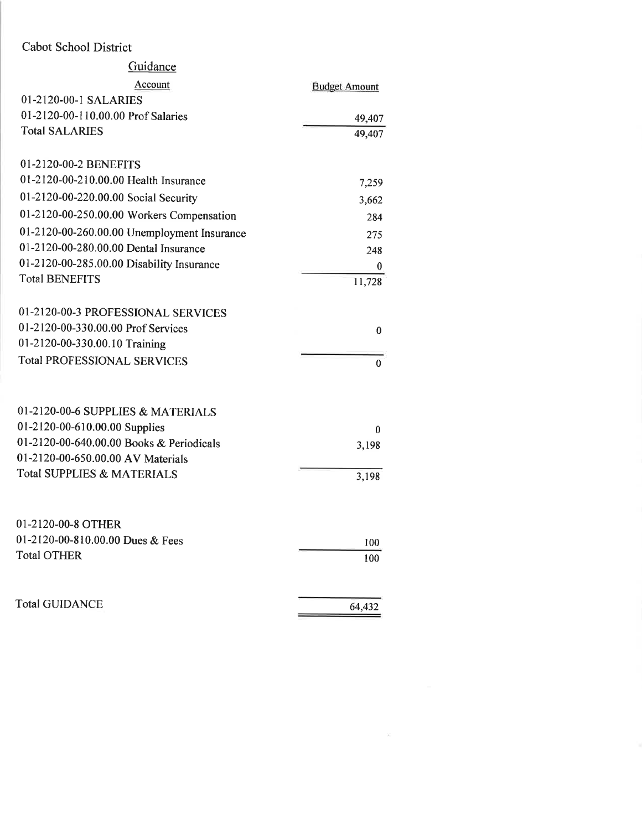| Guidance                                    |                      |
|---------------------------------------------|----------------------|
| Account                                     | <b>Budget Amount</b> |
| 01-2120-00-1 SALARIES                       |                      |
| 01-2120-00-110.00.00 Prof Salaries          | 49,407               |
| <b>Total SALARIES</b>                       | 49,407               |
| 01-2120-00-2 BENEFITS                       |                      |
| 01-2120-00-210.00.00 Health Insurance       | 7,259                |
| 01-2120-00-220.00.00 Social Security        | 3,662                |
| 01-2120-00-250.00.00 Workers Compensation   | 284                  |
| 01-2120-00-260.00.00 Unemployment Insurance | 275                  |
| 01-2120-00-280.00.00 Dental Insurance       | 248                  |
| 01-2120-00-285.00.00 Disability Insurance   | 0                    |
| <b>Total BENEFITS</b>                       | 11,728               |
| 01-2120-00-3 PROFESSIONAL SERVICES          |                      |
| 01-2120-00-330.00.00 Prof Services          | 0                    |
| 01-2120-00-330.00.10 Training               |                      |
| <b>Total PROFESSIONAL SERVICES</b>          | $\mathbf{0}$         |
|                                             |                      |
| 01-2120-00-6 SUPPLIES & MATERIALS           |                      |
| 01-2120-00-610.00.00 Supplies               | 0                    |
| 01-2120-00-640.00.00 Books & Periodicals    | 3,198                |
| 01-2120-00-650.00.00 AV Materials           |                      |
| <b>Total SUPPLIES &amp; MATERIALS</b>       | 3,198                |
| 01-2120-00-8 OTHER                          |                      |
| 01-2120-00-810.00.00 Dues & Fees            |                      |
| <b>Total OTHER</b>                          | 100<br>100           |
|                                             |                      |
| <b>Total GUIDANCE</b>                       | 64,432               |
|                                             |                      |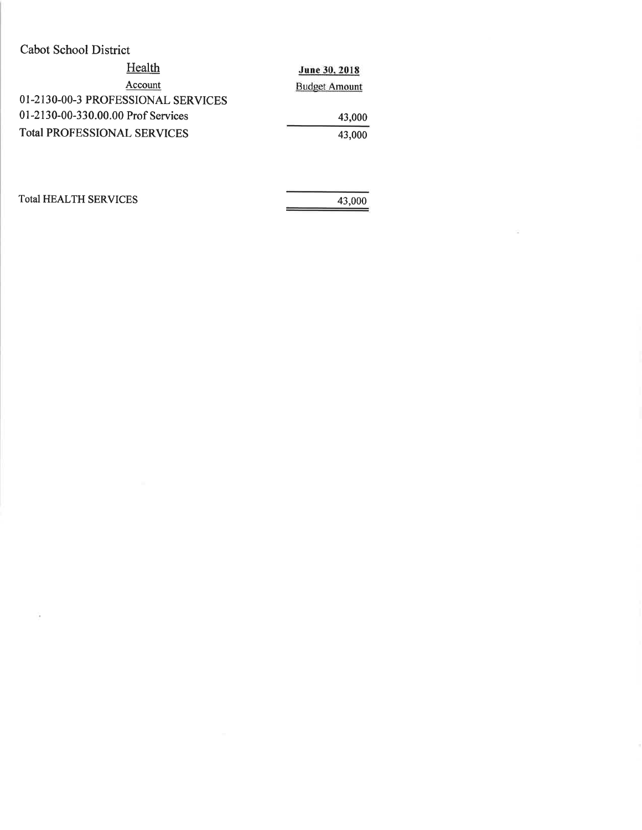| Cabot School District              |                      |
|------------------------------------|----------------------|
| Health                             | June 30, 2018        |
| Account                            | <b>Budget Amount</b> |
| 01-2130-00-3 PROFESSIONAL SERVICES |                      |
| 01-2130-00-330.00.00 Prof Services | 43,000               |
| <b>Total PROFESSIONAL SERVICES</b> | 43,000               |
|                                    |                      |

**Total HEALTH SERVICES** 

 $\sim$ 

43,000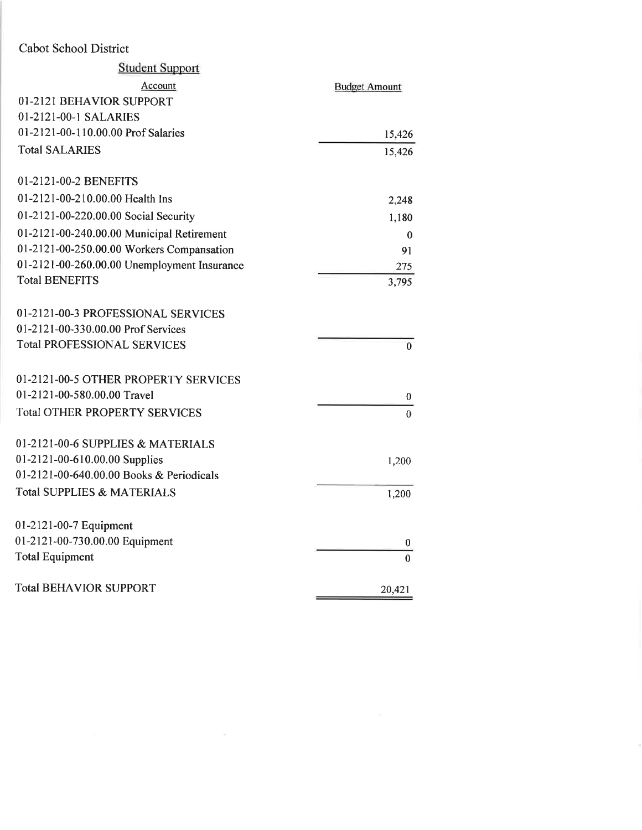| <b>Student Support</b>                      |                      |
|---------------------------------------------|----------------------|
|                                             |                      |
| Account                                     | <b>Budget Amount</b> |
| 01-2121 BEHAVIOR SUPPORT                    |                      |
| 01-2121-00-1 SALARIES                       |                      |
| 01-2121-00-110.00.00 Prof Salaries          | 15,426               |
| <b>Total SALARIES</b>                       | 15,426               |
| 01-2121-00-2 BENEFITS                       |                      |
| 01-2121-00-210.00.00 Health Ins             | 2,248                |
| 01-2121-00-220.00.00 Social Security        | 1,180                |
| 01-2121-00-240.00.00 Municipal Retirement   | $\mathbf{0}$         |
| 01-2121-00-250.00.00 Workers Compansation   | 91                   |
| 01-2121-00-260.00.00 Unemployment Insurance | 275                  |
| <b>Total BENEFITS</b>                       | 3,795                |
| 01-2121-00-3 PROFESSIONAL SERVICES          |                      |
| 01-2121-00-330.00.00 Prof Services          |                      |
| <b>Total PROFESSIONAL SERVICES</b>          | $\mathbf{0}$         |
| 01-2121-00-5 OTHER PROPERTY SERVICES        |                      |
| 01-2121-00-580.00.00 Travel                 | 0                    |
| <b>Total OTHER PROPERTY SERVICES</b>        | $\theta$             |
| 01-2121-00-6 SUPPLIES & MATERIALS           |                      |
| 01-2121-00-610.00.00 Supplies               | 1,200                |
| 01-2121-00-640.00.00 Books & Periodicals    |                      |
| <b>Total SUPPLIES &amp; MATERIALS</b>       | 1,200                |
| 01-2121-00-7 Equipment                      |                      |
| 01-2121-00-730.00.00 Equipment              | 0                    |
| <b>Total Equipment</b>                      | $\overline{0}$       |
| <b>Total BEHAVIOR SUPPORT</b>               | 20,421               |

the contract of the contract of the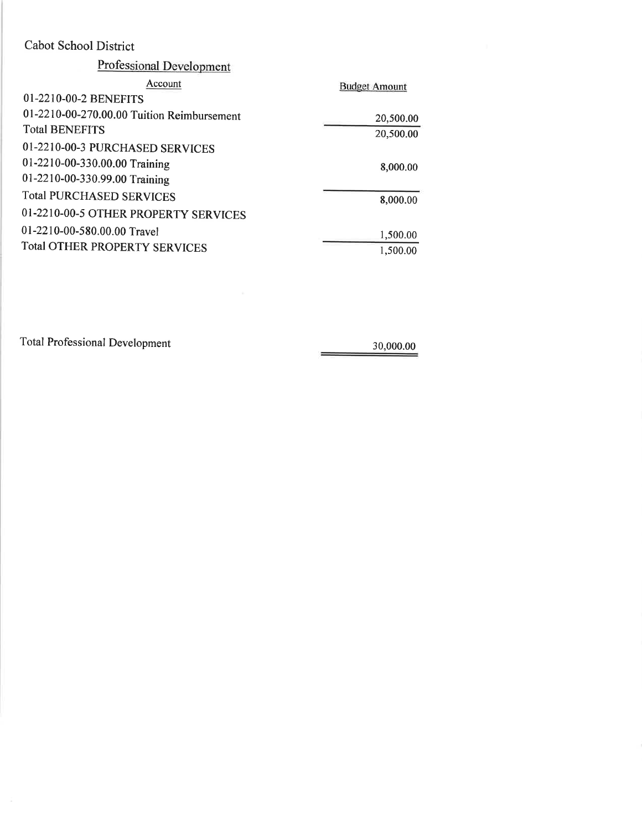| <b>Professional Development</b>            |                      |
|--------------------------------------------|----------------------|
| Account                                    | <b>Budget Amount</b> |
| 01-2210-00-2 BENEFITS                      |                      |
| 01-2210-00-270.00.00 Tuition Reimbursement | 20,500.00            |
| <b>Total BENEFITS</b>                      | 20,500.00            |
| 01-2210-00-3 PURCHASED SERVICES            |                      |
| 01-2210-00-330.00.00 Training              | 8,000.00             |
| 01-2210-00-330.99.00 Training              |                      |
| <b>Total PURCHASED SERVICES</b>            | 8,000.00             |
| 01-2210-00-5 OTHER PROPERTY SERVICES       |                      |
| 01-2210-00-580.00.00 Travel                | 1,500.00             |
| <b>Total OTHER PROPERTY SERVICES</b>       | 1,500.00             |

**Total Professional Development** 

 $\frac{30,000.00}{1}$ 

÷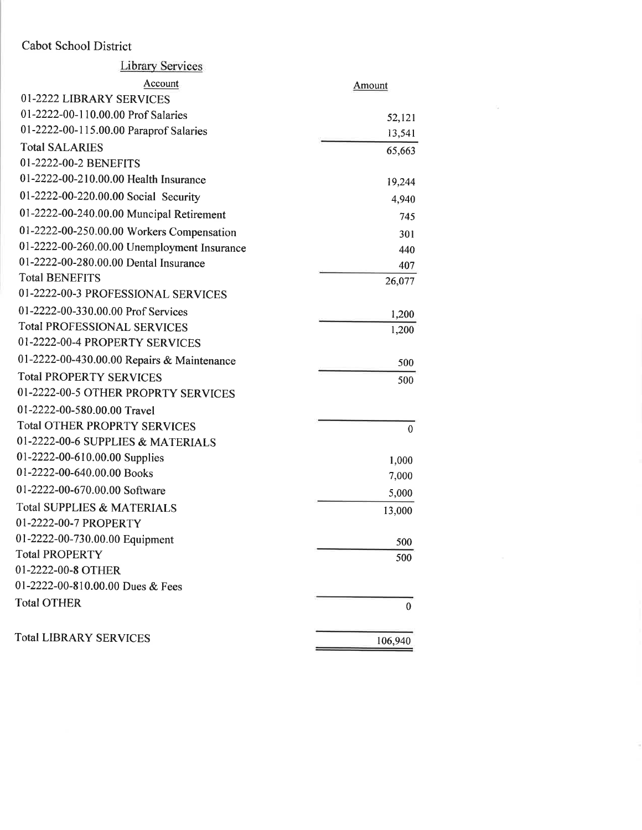| <b>Library Services</b>                     |               |
|---------------------------------------------|---------------|
| Account                                     | <b>Amount</b> |
| 01-2222 LIBRARY SERVICES                    |               |
| 01-2222-00-110.00.00 Prof Salaries          | 52,121        |
| 01-2222-00-115.00.00 Paraprof Salaries      | 13,541        |
| <b>Total SALARIES</b>                       | 65,663        |
| 01-2222-00-2 BENEFITS                       |               |
| 01-2222-00-210.00.00 Health Insurance       | 19,244        |
| 01-2222-00-220.00.00 Social Security        | 4,940         |
| 01-2222-00-240.00.00 Muncipal Retirement    | 745           |
| 01-2222-00-250.00.00 Workers Compensation   | 301           |
| 01-2222-00-260.00.00 Unemployment Insurance | 440           |
| 01-2222-00-280.00.00 Dental Insurance       | 407           |
| <b>Total BENEFITS</b>                       | 26,077        |
| 01-2222-00-3 PROFESSIONAL SERVICES          |               |
| 01-2222-00-330.00.00 Prof Services          | 1,200         |
| <b>Total PROFESSIONAL SERVICES</b>          | 1,200         |
| 01-2222-00-4 PROPERTY SERVICES              |               |
| 01-2222-00-430.00.00 Repairs & Maintenance  | 500           |
| <b>Total PROPERTY SERVICES</b>              | 500           |
| 01-2222-00-5 OTHER PROPRTY SERVICES         |               |
| 01-2222-00-580.00.00 Travel                 |               |
| <b>Total OTHER PROPRTY SERVICES</b>         | $\mathbf{0}$  |
| 01-2222-00-6 SUPPLIES & MATERIALS           |               |
| 01-2222-00-610.00.00 Supplies               | 1,000         |
| 01-2222-00-640.00.00 Books                  | 7,000         |
| 01-2222-00-670.00.00 Software               | 5,000         |
| <b>Total SUPPLIES &amp; MATERIALS</b>       | 13,000        |
| 01-2222-00-7 PROPERTY                       |               |
| 01-2222-00-730.00.00 Equipment              | 500           |
| <b>Total PROPERTY</b>                       | 500           |
| 01-2222-00-8 OTHER                          |               |
| 01-2222-00-810.00.00 Dues & Fees            |               |
| <b>Total OTHER</b>                          | $\mathbf{0}$  |
| <b>Total LIBRARY SERVICES</b>               | 106,940       |
|                                             |               |

3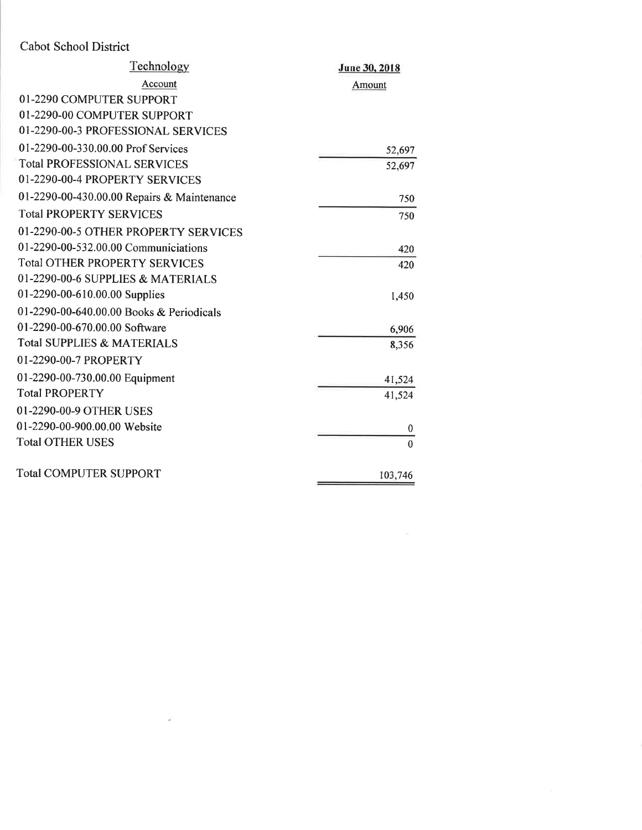| Technology                                 | June 30, 2018 |
|--------------------------------------------|---------------|
| Account                                    | Amount        |
| 01-2290 COMPUTER SUPPORT                   |               |
| 01-2290-00 COMPUTER SUPPORT                |               |
| 01-2290-00-3 PROFESSIONAL SERVICES         |               |
| 01-2290-00-330.00.00 Prof Services         | 52,697        |
| <b>Total PROFESSIONAL SERVICES</b>         | 52,697        |
| 01-2290-00-4 PROPERTY SERVICES             |               |
| 01-2290-00-430.00.00 Repairs & Maintenance | 750           |
| <b>Total PROPERTY SERVICES</b>             | 750           |
| 01-2290-00-5 OTHER PROPERTY SERVICES       |               |
| 01-2290-00-532.00.00 Communiciations       | 420           |
| <b>Total OTHER PROPERTY SERVICES</b>       | 420           |
| 01-2290-00-6 SUPPLIES & MATERIALS          |               |
| 01-2290-00-610.00.00 Supplies              | 1,450         |
| 01-2290-00-640.00.00 Books & Periodicals   |               |
| 01-2290-00-670.00.00 Software              | 6,906         |
| <b>Total SUPPLIES &amp; MATERIALS</b>      | 8,356         |
| 01-2290-00-7 PROPERTY                      |               |
| 01-2290-00-730.00.00 Equipment             | 41,524        |
| <b>Total PROPERTY</b>                      | 41,524        |
| 01-2290-00-9 OTHER USES                    |               |
| 01-2290-00-900.00.00 Website               | $\theta$      |
| <b>Total OTHER USES</b>                    | $\theta$      |
| <b>Total COMPUTER SUPPORT</b>              | 103,746       |

 $\sim 100\,M_\odot$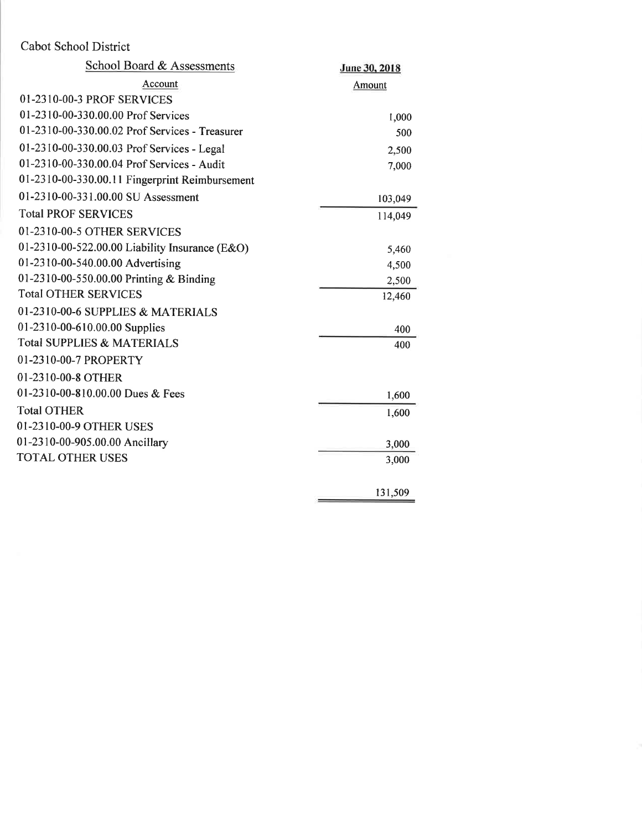| <b>School Board &amp; Assessments</b>          | June 30, 2018 |
|------------------------------------------------|---------------|
| Account                                        | Amount        |
| 01-2310-00-3 PROF SERVICES                     |               |
| 01-2310-00-330.00.00 Prof Services             | 1,000         |
| 01-2310-00-330.00.02 Prof Services - Treasurer | 500           |
| 01-2310-00-330.00.03 Prof Services - Legal     | 2,500         |
| 01-2310-00-330.00.04 Prof Services - Audit     | 7,000         |
| 01-2310-00-330.00.11 Fingerprint Reimbursement |               |
| 01-2310-00-331.00.00 SU Assessment             | 103,049       |
| <b>Total PROF SERVICES</b>                     | 114,049       |
| 01-2310-00-5 OTHER SERVICES                    |               |
| 01-2310-00-522.00.00 Liability Insurance (E&O) | 5,460         |
| 01-2310-00-540.00.00 Advertising               | 4,500         |
| 01-2310-00-550.00.00 Printing & Binding        | 2,500         |
| <b>Total OTHER SERVICES</b>                    | 12,460        |
| 01-2310-00-6 SUPPLIES & MATERIALS              |               |
| 01-2310-00-610.00.00 Supplies                  | 400           |
| <b>Total SUPPLIES &amp; MATERIALS</b>          | 400           |
| 01-2310-00-7 PROPERTY                          |               |
| 01-2310-00-8 OTHER                             |               |
| 01-2310-00-810.00.00 Dues & Fees               | 1,600         |
| <b>Total OTHER</b>                             | 1,600         |
| 01-2310-00-9 OTHER USES                        |               |
| 01-2310-00-905.00.00 Ancillary                 | 3,000         |
| <b>TOTAL OTHER USES</b>                        | 3,000         |
|                                                |               |
|                                                | 131,509       |
|                                                |               |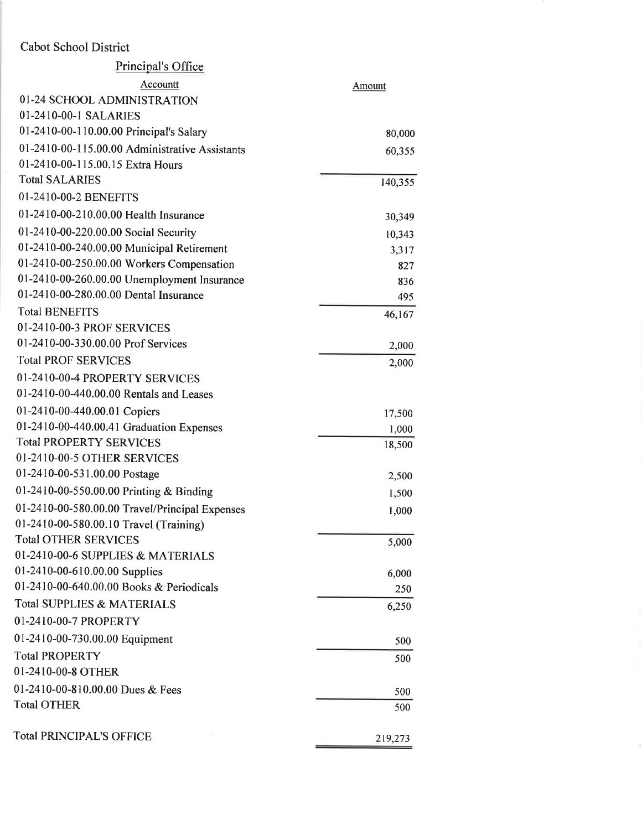| Principal's Office                             |         |
|------------------------------------------------|---------|
| Accountt                                       | Amount  |
| 01-24 SCHOOL ADMINISTRATION                    |         |
| 01-2410-00-1 SALARIES                          |         |
| 01-2410-00-110.00.00 Principal's Salary        | 80,000  |
| 01-2410-00-115.00.00 Administrative Assistants | 60,355  |
| 01-2410-00-115.00.15 Extra Hours               |         |
| <b>Total SALARIES</b>                          | 140,355 |
| 01-2410-00-2 BENEFITS                          |         |
| 01-2410-00-210.00.00 Health Insurance          | 30,349  |
| 01-2410-00-220.00.00 Social Security           | 10,343  |
| 01-2410-00-240.00.00 Municipal Retirement      | 3,317   |
| 01-2410-00-250.00.00 Workers Compensation      | 827     |
| 01-2410-00-260.00.00 Unemployment Insurance    | 836     |
| 01-2410-00-280.00.00 Dental Insurance          | 495     |
| <b>Total BENEFITS</b>                          | 46,167  |
| 01-2410-00-3 PROF SERVICES                     |         |
| 01-2410-00-330.00.00 Prof Services             | 2,000   |
| <b>Total PROF SERVICES</b>                     | 2,000   |
| 01-2410-00-4 PROPERTY SERVICES                 |         |
| 01-2410-00-440.00.00 Rentals and Leases        |         |
| 01-2410-00-440.00.01 Copiers                   | 17,500  |
| 01-2410-00-440.00.41 Graduation Expenses       | 1,000   |
| <b>Total PROPERTY SERVICES</b>                 | 18,500  |
| 01-2410-00-5 OTHER SERVICES                    |         |
| 01-2410-00-531.00.00 Postage                   | 2,500   |
| 01-2410-00-550.00.00 Printing & Binding        | 1,500   |
| 01-2410-00-580.00.00 Travel/Principal Expenses | 1,000   |
| 01-2410-00-580.00.10 Travel (Training)         |         |
| <b>Total OTHER SERVICES</b>                    | 5,000   |
| 01-2410-00-6 SUPPLIES & MATERIALS              |         |
| 01-2410-00-610.00.00 Supplies                  | 6,000   |
| 01-2410-00-640.00.00 Books & Periodicals       | 250     |
| Total SUPPLIES & MATERIALS                     | 6,250   |
| 01-2410-00-7 PROPERTY                          |         |
| 01-2410-00-730.00.00 Equipment                 | 500     |
| <b>Total PROPERTY</b>                          | 500     |
| 01-2410-00-8 OTHER                             |         |
| 01-2410-00-810.00.00 Dues & Fees               | 500     |
| <b>Total OTHER</b>                             | 500     |
| Total PRINCIPAL'S OFFICE                       | 219,273 |
|                                                |         |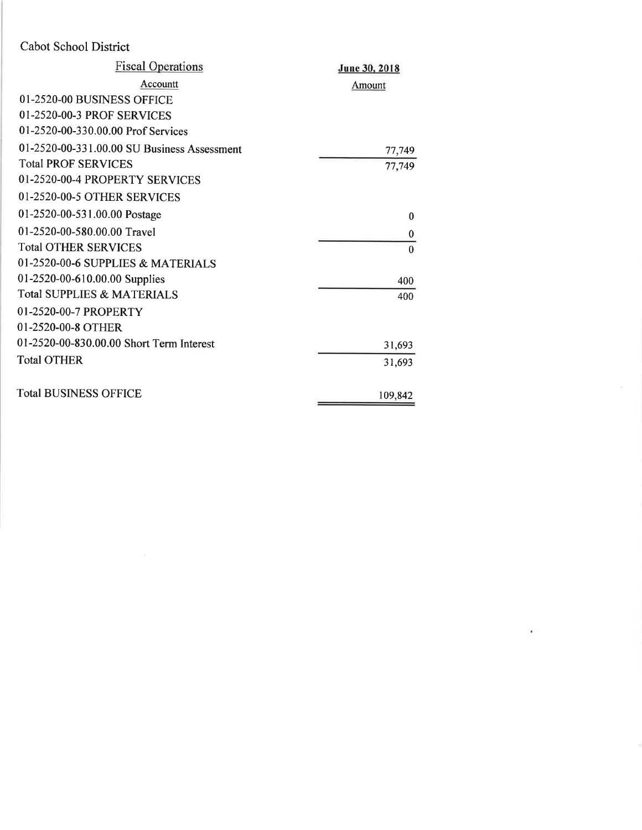| <b>Fiscal Operations</b>                    | June 30, 2018 |
|---------------------------------------------|---------------|
| Accountt                                    | Amount        |
| 01-2520-00 BUSINESS OFFICE                  |               |
| 01-2520-00-3 PROF SERVICES                  |               |
| 01-2520-00-330.00.00 Prof Services          |               |
| 01-2520-00-331.00.00 SU Business Assessment | 77,749        |
| <b>Total PROF SERVICES</b>                  | 77,749        |
| 01-2520-00-4 PROPERTY SERVICES              |               |
| 01-2520-00-5 OTHER SERVICES                 |               |
| 01-2520-00-531.00.00 Postage                | $\theta$      |
| 01-2520-00-580.00.00 Travel                 | $\bf{0}$      |
| <b>Total OTHER SERVICES</b>                 | $\mathbf{0}$  |
| 01-2520-00-6 SUPPLIES & MATERIALS           |               |
| 01-2520-00-610.00.00 Supplies               | 400           |
| <b>Total SUPPLIES &amp; MATERIALS</b>       | 400           |
| 01-2520-00-7 PROPERTY                       |               |
| 01-2520-00-8 OTHER                          |               |
| 01-2520-00-830.00.00 Short Term Interest    | 31,693        |
| <b>Total OTHER</b>                          | 31,693        |
| <b>Total BUSINESS OFFICE</b>                | 109,842       |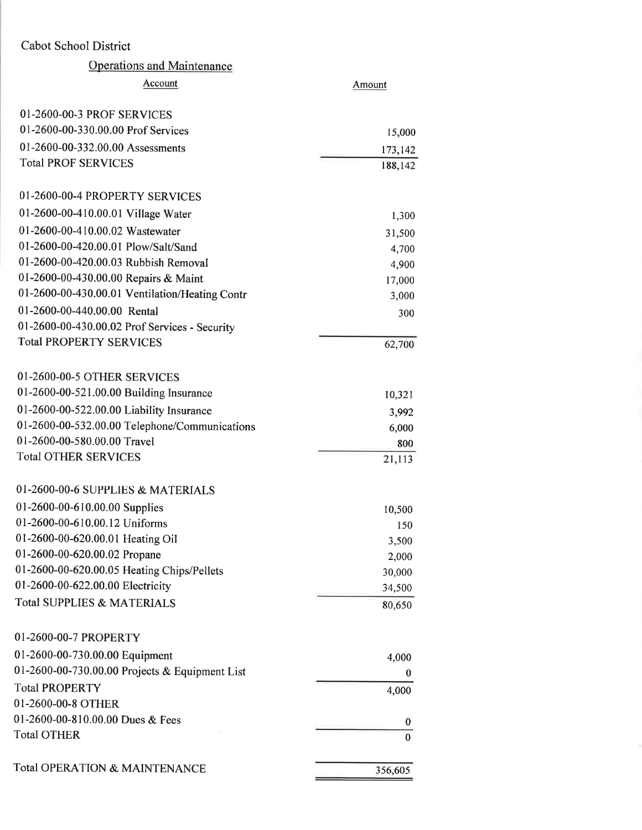### Cabot School District ol District<br>Operations and Maintenance

| Total OPERATION & MAINTENANCE                  | 356,605          |
|------------------------------------------------|------------------|
|                                                |                  |
| <b>Total OTHER</b>                             | 0                |
| 01-2600-00-810.00.00 Dues & Fees               | 0                |
| 01-2600-00-8 OTHER                             |                  |
| <b>Total PROPERTY</b>                          | 4,000            |
| 01-2600-00-730.00.00 Projects & Equipment List | $\boldsymbol{0}$ |
| 01-2600-00-730.00.00 Equipment                 | 4,000            |
| 01-2600-00-7 PROPERTY                          |                  |
|                                                |                  |
| <b>Total SUPPLIES &amp; MATERIALS</b>          | 80,650           |
| 01-2600-00-622.00.00 Electricity               | 34,500           |
| 01-2600-00-620.00.05 Heating Chips/Pellets     | 30,000           |
| 01-2600-00-620.00.02 Propane                   | 2,000            |
| 01-2600-00-620.00.01 Heating Oil               | 150<br>3,500     |
| 01-2600-00-610.00.12 Uniforms                  | 10,500           |
| 01-2600-00-610.00.00 Supplies                  |                  |
| 01-2600-00-6 SUPPLIES & MATERIALS              |                  |
| <b>Total OTHER SERVICES</b>                    | 21,113           |
| 01-2600-00-580.00.00 Travel                    | 800              |
| 01-2600-00-532.00.00 Telephone/Communications  | 6,000            |
| 01-2600-00-522.00.00 Liability Insurance       | 3,992            |
| 01-2600-00-521.00.00 Building Insurance        | 10,321           |
| 01-2600-00-5 OTHER SERVICES                    |                  |
|                                                |                  |
| <b>Total PROPERTY SERVICES</b>                 | 62,700           |
| 01-2600-00-430.00.02 Prof Services - Security  |                  |
| 01-2600-00-440.00.00 Rental                    | 300              |
| 01-2600-00-430.00.01 Ventilation/Heating Contr | 3,000            |
| 01-2600-00-430.00.00 Repairs & Maint           | 17,000           |
| 01-2600-00-420.00.03 Rubbish Removal           | 4,900            |
| 01-2600-00-420.00.01 Plow/Salt/Sand            | 4,700            |
| 01-2600-00-410.00.02 Wastewater                | 31,500           |
| 01-2600-00-410.00.01 Village Water             | 1,300            |
| 01-2600-00-4 PROPERTY SERVICES                 |                  |
| <b>Total PROF SERVICES</b>                     | 188,142          |
| 01-2600-00-332.00.00 Assessments               | 173,142          |
| 01-2600-00-330.00.00 Prof Services             | 15,000           |
| 01-2600-00-3 PROF SERVICES                     |                  |
|                                                |                  |
| Account                                        | Amount           |
| <b>Operations and Maintenance</b>              |                  |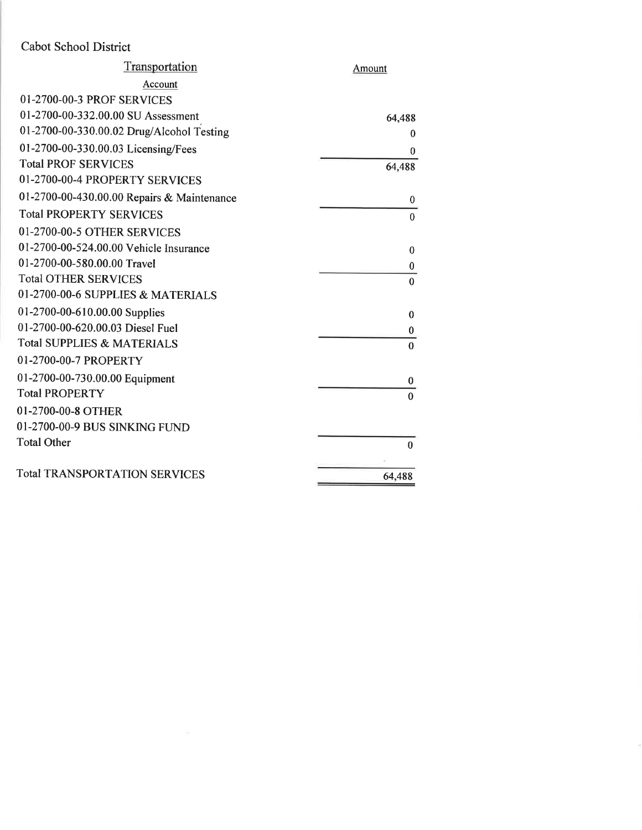| Transportation                             | Amount       |
|--------------------------------------------|--------------|
| Account                                    |              |
| 01-2700-00-3 PROF SERVICES                 |              |
| 01-2700-00-332.00.00 SU Assessment         | 64,488       |
| 01-2700-00-330.00.02 Drug/Alcohol Testing  | $\bf{0}$     |
| 01-2700-00-330.00.03 Licensing/Fees        | $\theta$     |
| <b>Total PROF SERVICES</b>                 | 64,488       |
| 01-2700-00-4 PROPERTY SERVICES             |              |
| 01-2700-00-430.00.00 Repairs & Maintenance | $\bf{0}$     |
| <b>Total PROPERTY SERVICES</b>             | $\Omega$     |
| 01-2700-00-5 OTHER SERVICES                |              |
| 01-2700-00-524.00.00 Vehicle Insurance     | $\bf{0}$     |
| 01-2700-00-580.00.00 Travel                | $\bf{0}$     |
| <b>Total OTHER SERVICES</b>                | $\Omega$     |
| 01-2700-00-6 SUPPLIES & MATERIALS          |              |
| 01-2700-00-610.00.00 Supplies              | $\bf{0}$     |
| 01-2700-00-620.00.03 Diesel Fuel           | 0            |
| <b>Total SUPPLIES &amp; MATERIALS</b>      | $\mathbf{0}$ |
| 01-2700-00-7 PROPERTY                      |              |
| 01-2700-00-730.00.00 Equipment             | 0            |
| <b>Total PROPERTY</b>                      | $\Omega$     |
| 01-2700-00-8 OTHER                         |              |
| 01-2700-00-9 BUS SINKING FUND              |              |
| <b>Total Other</b>                         | $\bf{0}$     |
| <b>Total TRANSPORTATION SERVICES</b>       | 64,488       |
|                                            |              |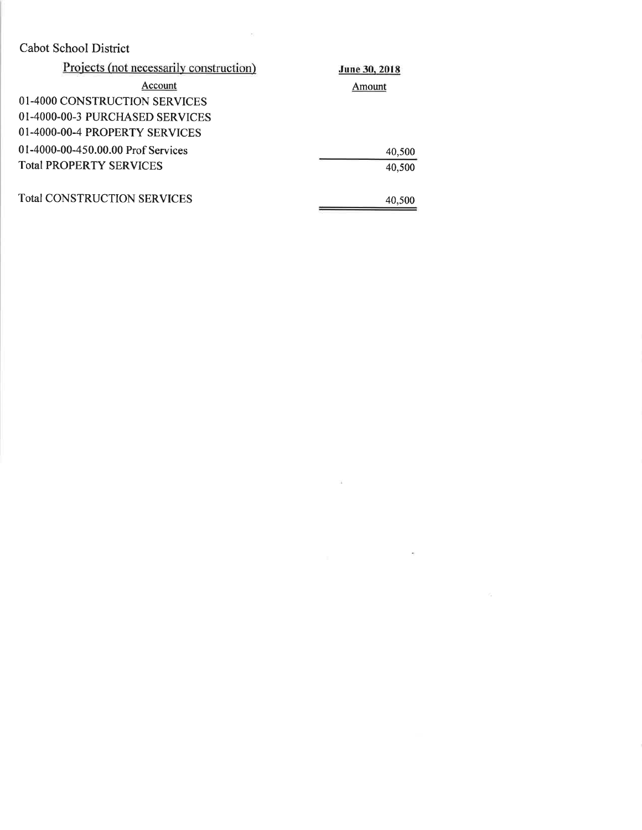| Projects (not necessarily construction) | June 30, 2018 |
|-----------------------------------------|---------------|
| Account                                 | Amount        |
| 01-4000 CONSTRUCTION SERVICES           |               |
| 01-4000-00-3 PURCHASED SERVICES         |               |
| 01-4000-00-4 PROPERTY SERVICES          |               |
| 01-4000-00-450.00.00 Prof Services      | 40,500        |
| <b>Total PROPERTY SERVICES</b>          | 40,500        |
| <b>Total CONSTRUCTION SERVICES</b>      | 40,500        |

 $\sim$  10

 $\alpha$  . The state  $\alpha$ 

 $\mathcal{L}_{\text{max}}$  and  $\mathcal{L}_{\text{max}}$  .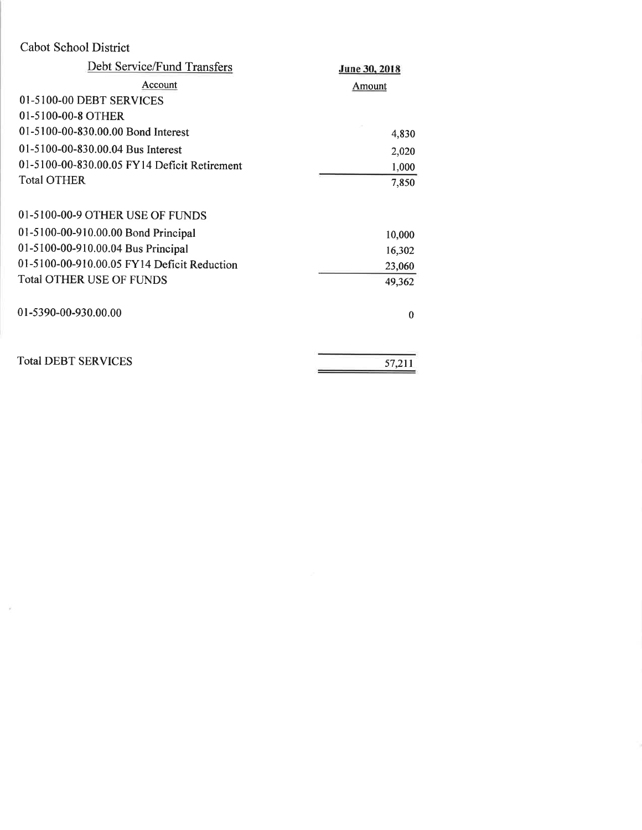$\mathcal{V}_\mathrm{c}$ 

| Debt Service/Fund Transfers                  | June 30, 2018 |
|----------------------------------------------|---------------|
| Account                                      | <b>Amount</b> |
| 01-5100-00 DEBT SERVICES                     |               |
| 01-5100-00-8 OTHER                           |               |
| 01-5100-00-830.00.00 Bond Interest           | 4,830         |
| 01-5100-00-830.00.04 Bus Interest            | 2,020         |
| 01-5100-00-830.00.05 FY14 Deficit Retirement | 1,000         |
| <b>Total OTHER</b>                           | 7,850         |
| 01-5100-00-9 OTHER USE OF FUNDS              |               |
| 01-5100-00-910.00.00 Bond Principal          | 10,000        |
| 01-5100-00-910.00.04 Bus Principal           | 16,302        |
| 01-5100-00-910.00.05 FY14 Deficit Reduction  | 23,060        |
| <b>Total OTHER USE OF FUNDS</b>              | 49,362        |
| 01-5390-00-930.00.00                         | $\theta$      |
| <b>Total DEBT SERVICES</b>                   | 57,211        |